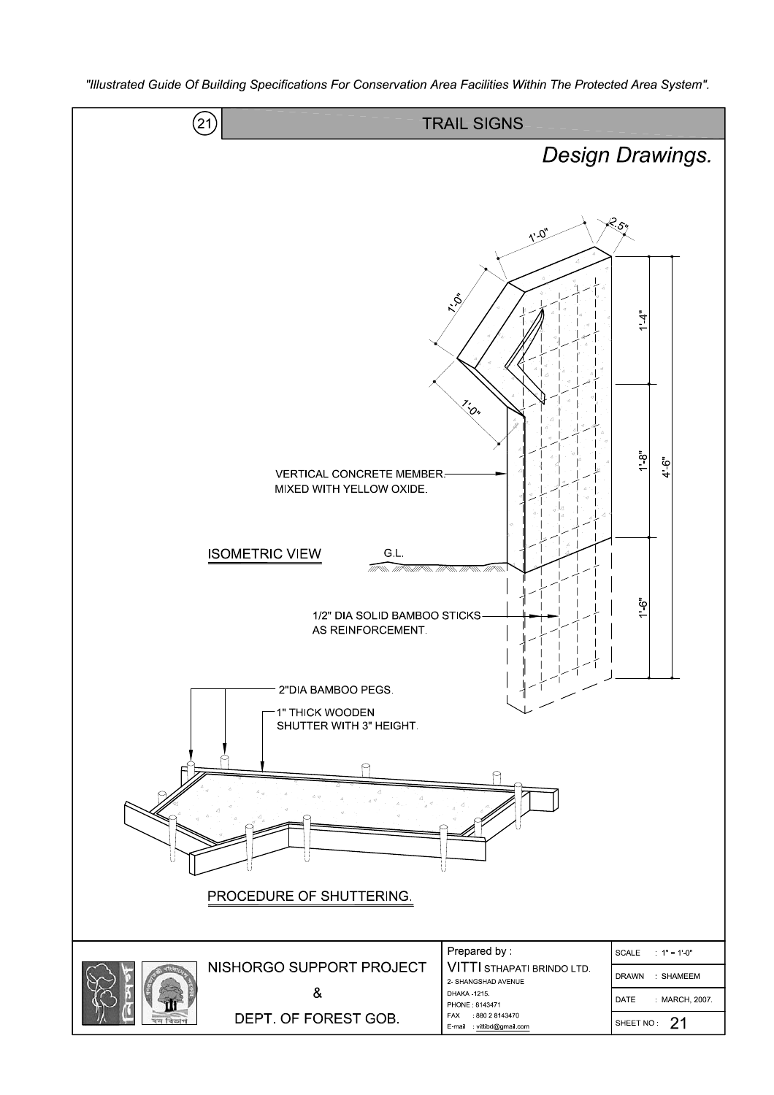

"Illustrated Guide Of Building Specifications For Conservation Area Facilities Within The Protected Area System".